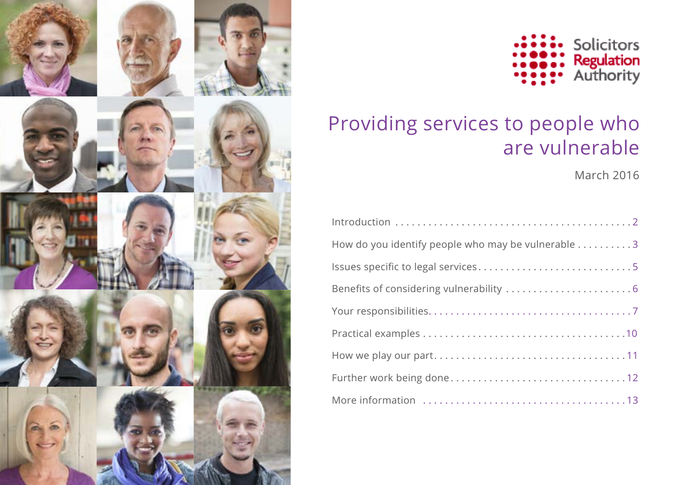



# Providing services to people who are vulnerable

March 2016

| How do you identify people who may be vulnerable 3 |
|----------------------------------------------------|
| Issues specific to legal services5                 |
|                                                    |
|                                                    |
|                                                    |
|                                                    |
|                                                    |
|                                                    |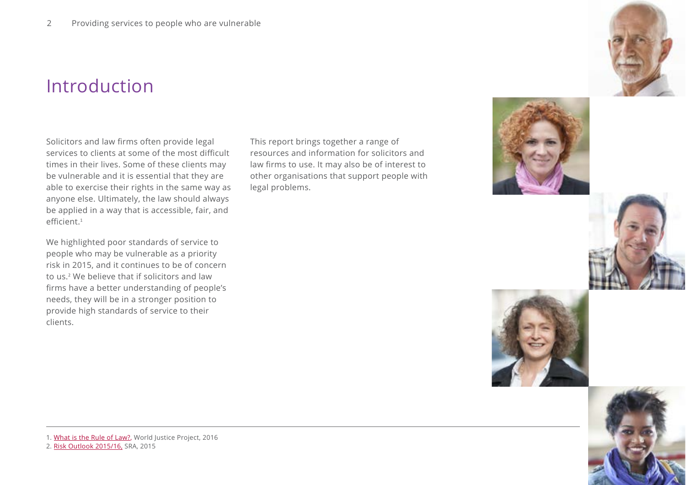## Introduction

Solicitors and law firms often provide legal services to clients at some of the most difficult times in their lives. Some of these clients may be vulnerable and it is essential that they are able to exercise their rights in the same way as anyone else. Ultimately, the law should always be applied in a way that is accessible, fair, and efficient<sup>1</sup>

We highlighted poor standards of service to people who may be vulnerable as a priority risk in 2015, and it continues to be of concern to us. 2 We believe that if solicitors and law firms have a better understanding of people's needs, they will be in a stronger position to provide high standards of service to their clients.

This report brings together a range of resources and information for solicitors and law firms to use. It may also be of interest to other organisations that support people with legal problems.









1. [What is the Rule of Law?](http://worldjusticeproject.org/what-rule-law), World Justice Project, 2016

2. [Risk Outlook 2015/16,](http://www.sra.org.uk/risk/outlook/risk-outlook-2015-2016.page) SRA, 2015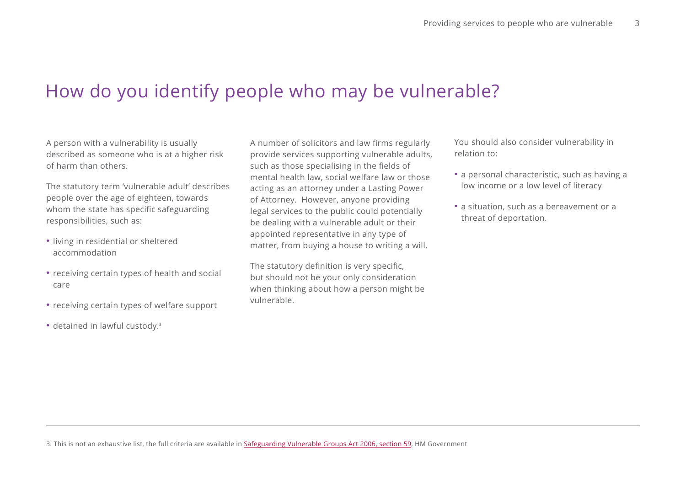# How do you identify people who may be vulnerable?

A person with a vulnerability is usually described as someone who is at a higher risk of harm than others.

The statutory term 'vulnerable adult' describes people over the age of eighteen, towards whom the state has specific safeguarding responsibilities, such as:

- living in residential or sheltered accommodation
- receiving certain types of health and social care
- receiving certain types of welfare support
- detained in lawful custody.<sup>3</sup>

A number of solicitors and law firms regularly provide services supporting vulnerable adults, such as those specialising in the fields of mental health law, social welfare law or those acting as an attorney under a Lasting Power of Attorney. However, anyone providing legal services to the public could potentially be dealing with a vulnerable adult or their appointed representative in any type of matter, from buying a house to writing a will.

The statutory definition is very specific, but should not be your only consideration when thinking about how a person might be vulnerable.

You should also consider vulnerability in relation to:

- a personal characteristic, such as having a low income or a low level of literacy
- a situation, such as a bereavement or a threat of deportation.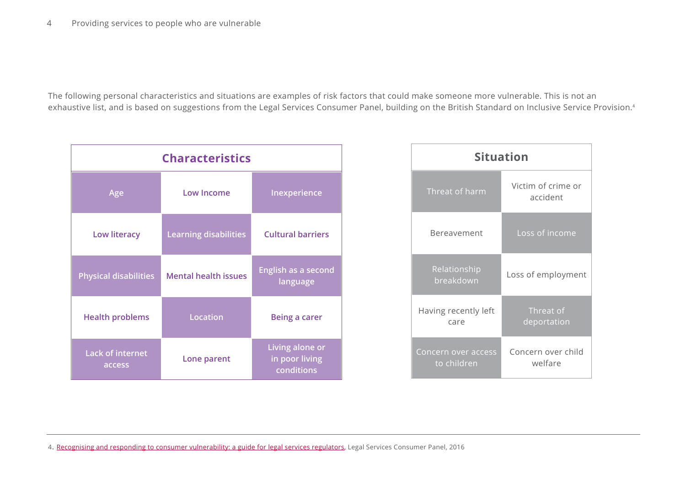The following personal characteristics and situations are examples of risk factors that could make someone more vulnerable. This is not an exhaustive list, and is based on suggestions from the Legal Services Consumer Panel, building on the British Standard on Inclusive Service Provision.<sup>4</sup>

| <b>Characteristics</b>            |                              |                                                 |  |
|-----------------------------------|------------------------------|-------------------------------------------------|--|
| Age                               | <b>Low Income</b>            | Inexperience                                    |  |
| <b>Low literacy</b>               | <b>Learning disabilities</b> | <b>Cultural barriers</b>                        |  |
| <b>Physical disabilities</b>      | <b>Mental health issues</b>  | English as a second<br>language                 |  |
| <b>Health problems</b>            | <b>Location</b>              | <b>Being a carer</b>                            |  |
| <b>Lack of internet</b><br>access | Lone parent                  | Living alone or<br>in poor living<br>conditions |  |

| <b>Situation</b>                   |                                |  |
|------------------------------------|--------------------------------|--|
| Threat of harm                     | Victim of crime or<br>accident |  |
| Bereavement                        | Loss of income                 |  |
| Relationship<br>breakdown          | Loss of employment             |  |
| Having recently left<br>care       | Threat of<br>deportation       |  |
| Concern over access<br>to children | Concern over child<br>welfare  |  |

4. [Recognising and responding to consumer vulnerability: a guide for legal services regulators](http://www.legalservicesconsumerpanel.org.uk/publications/research_and_reports/documents/Guide%20to%20consumer%20vulnerability%202014%20final.pdf), Legal Services Consumer Panel, 2016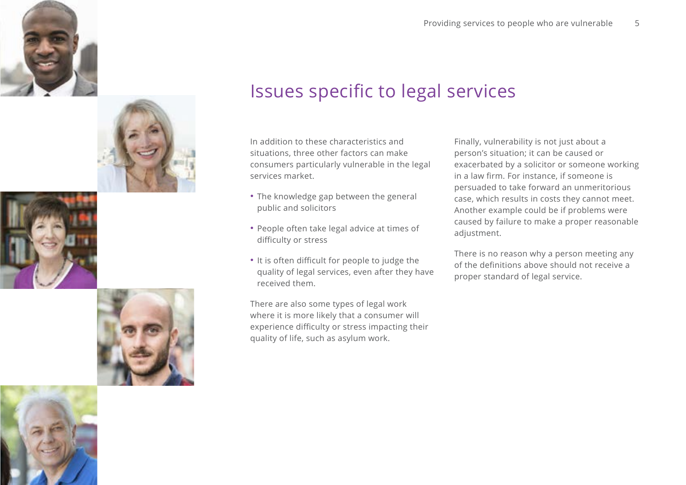









## Issues specific to legal services

In addition to these characteristics and situations, three other factors can make consumers particularly vulnerable in the legal services market.

- The knowledge gap between the general public and solicitors
- People often take legal advice at times of difficulty or stress
- It is often difficult for people to judge the quality of legal services, even after they have received them.

There are also some types of legal work where it is more likely that a consumer will experience difficulty or stress impacting their quality of life, such as asylum work.

Finally, vulnerability is not just about a person's situation; it can be caused or exacerbated by a solicitor or someone working in a law firm. For instance, if someone is persuaded to take forward an unmeritorious case, which results in costs they cannot meet. Another example could be if problems were caused by failure to make a proper reasonable adjustment.

There is no reason why a person meeting any of the definitions above should not receive a proper standard of legal service.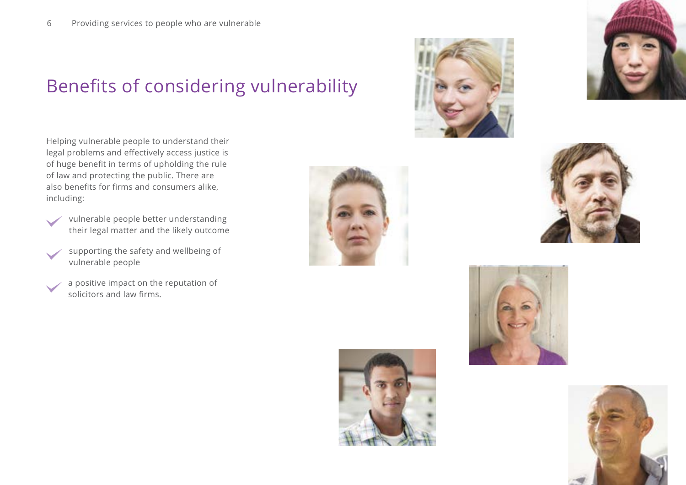# Benefits of considering vulnerability

Helping vulnerable people to understand their legal problems and effectively access justice is of huge benefit in terms of upholding the rule of law and protecting the public. There are also benefits for firms and consumers alike, including:

- vulnerable people better understanding their legal matter and the likely outcome
- supporting the safety and wellbeing of vulnerable people
- a positive impact on the reputation of solicitors and law firms.













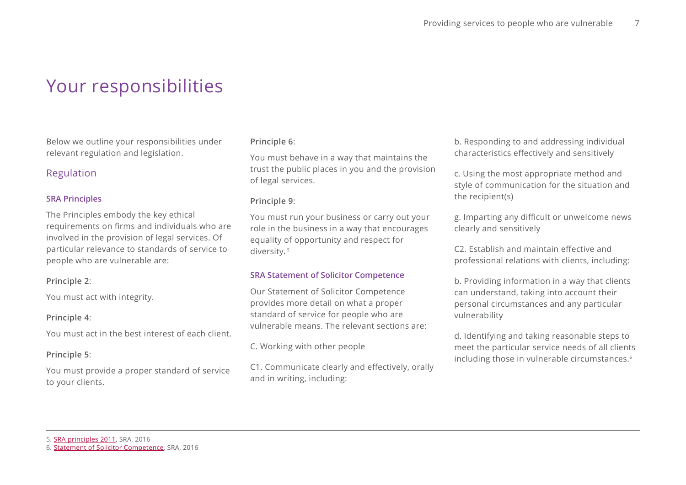## Your responsibilities

Below we outline your responsibilities under relevant regulation and legislation.

### Regulation

#### **SRA Principles**

The Principles embody the key ethical requirements on firms and individuals who are involved in the provision of legal services. Of particular relevance to standards of service to people who are vulnerable are:

#### **Principle 2**:

You must act with integrity.

#### **Principle 4**:

You must act in the best interest of each client.

#### **Principle 5**:

You must provide a proper standard of service to your clients.

#### **Principle 6**:

You must behave in a way that maintains the trust the public places in you and the provision of legal services.

#### **Principle 9**:

You must run your business or carry out your role in the business in a way that encourages equality of opportunity and respect for diversity. 5

#### **SRA Statement of Solicitor Competence**

Our Statement of Solicitor Competence provides more detail on what a proper standard of service for people who are vulnerable means. The relevant sections are:

C. Working with other people

C1. Communicate clearly and effectively, orally and in writing, including:

b. Responding to and addressing individual characteristics effectively and sensitively

c. Using the most appropriate method and style of communication for the situation and the recipient(s)

g. Imparting any difficult or unwelcome news clearly and sensitively

C2. Establish and maintain effective and professional relations with clients, including:

b. Providing information in a way that clients can understand, taking into account their personal circumstances and any particular vulnerability

d. Identifying and taking reasonable steps to meet the particular service needs of all clients including those in vulnerable circumstances.<sup>6</sup>

<sup>5.</sup> [SRA principles 2011](http://www.sra.org.uk/solicitors/handbook/handbookprinciples/content.page), SRA, 2016

<sup>6.</sup> [Statement of Solicitor Competence](https://www.sra.org.uk/solicitors/competence-statement.page), SRA, 2016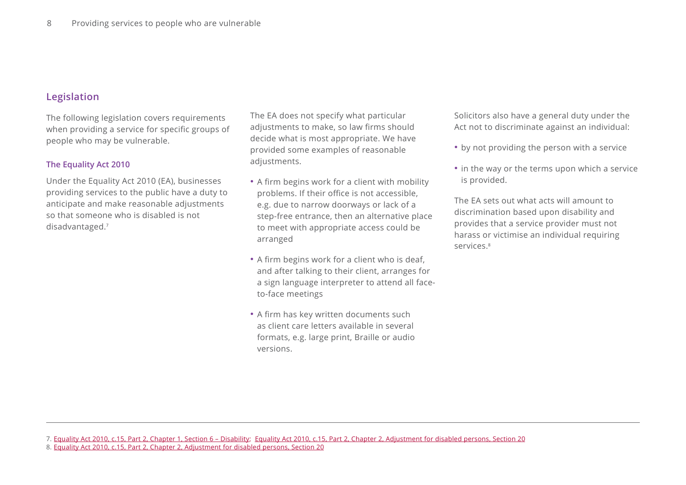### **Legislation**

The following legislation covers requirements when providing a service for specific groups of people who may be vulnerable.

#### **The Equality Act 2010**

Under the Equality Act 2010 (EA), businesses providing services to the public have a duty to anticipate and make reasonable adjustments so that someone who is disabled is not disadvantaged.<sup>7</sup>

The EA does not specify what particular adjustments to make, so law firms should decide what is most appropriate. We have provided some examples of reasonable adjustments.

- A firm begins work for a client with mobility problems. If their office is not accessible, e.g. due to narrow doorways or lack of a step-free entrance, then an alternative place to meet with appropriate access could be arranged
- A firm begins work for a client who is deaf, and after talking to their client, arranges for a sign language interpreter to attend all faceto-face meetings
- A firm has key written documents such as client care letters available in several formats, e.g. large print, Braille or audio versions.

Solicitors also have a general duty under the Act not to discriminate against an individual:

- by not providing the person with a service
- in the way or the terms upon which a service is provided.

The EA sets out what acts will amount to discrimination based upon disability and provides that a service provider must not harass or victimise an individual requiring services. 8

<sup>7.</sup> [Equality Act 2010, c.15, Part 2, Chapter 1, Section 6 – Disability](http://www.legislation.gov.uk/ukpga/2010/15/section/6); [Equality Act 2010, c.15, Part 2, Chapter 2, Adjustment for disabled persons, Section 20](http://www.legislation.gov.uk/ukpga/2010/15/section/20)

<sup>8.</sup> [Equality Act 2010, c.15, Part 2, Chapter 2, Adjustment for disabled persons, Section 20](http://www.legislation.gov.uk/ukpga/2010/15/section/20)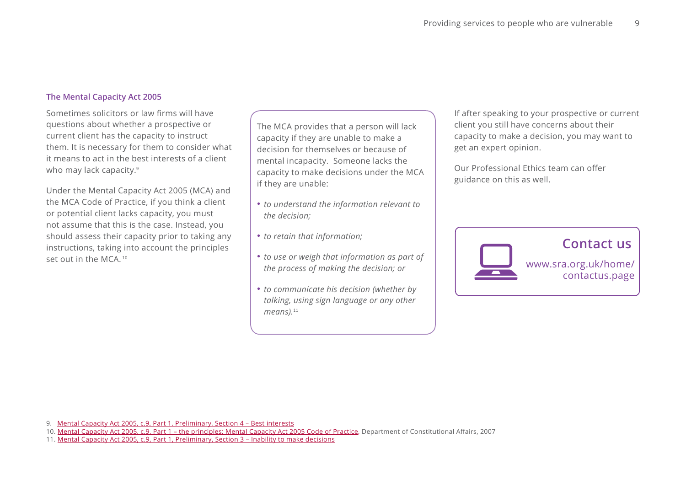#### **The Mental Capacity Act 2005**

Sometimes solicitors or law firms will have questions about whether a prospective or current client has the capacity to instruct them. It is necessary for them to consider what it means to act in the best interests of a client who may lack capacity. 9

Under the Mental Capacity Act 2005 (MCA) and the MCA Code of Practice, if you think a client or potential client lacks capacity, you must not assume that this is the case. Instead, you should assess their capacity prior to taking any instructions, taking into account the principles set out in the MCA 10

The MCA provides that a person will lack capacity if they are unable to make a decision for themselves or because of mental incapacity. Someone lacks the capacity to make decisions under the MCA if they are unable:

- *to understand the information relevant to the decision;*
- *to retain that information;*
- *to use or weigh that information as part of the process of making the decision; or*
- *to communicate his decision (whether by talking, using sign language or any other means).*<sup>11</sup>

If after speaking to your prospective or current client you still have concerns about their capacity to make a decision, you may want to get an expert opinion.

Our Professional Ethics team can offer guidance on this as well.



<sup>9.</sup> [Mental Capacity Act 2005, c.9, Part 1, Preliminary, Section 4 – Best interests](http://www.legislation.gov.uk/ukpga/2005/9/section/4)

<sup>10.</sup> [Mental Capacity Act 2005, c.9, Part 1 – the principles](http://www.legislation.gov.uk/ukpga/2005/9/section/1); [Mental Capacity Act 2005 Code of Practice](https://www.gov.uk/government/uploads/system/uploads/attachment_data/file/497253/Mental-capacity-act-code-of-practice.pdf), Department of Constitutional Affairs, 2007

<sup>11.</sup> [Mental Capacity Act 2005, c.9, Part 1, Preliminary, Section 3 – Inability to make decisions](http://www.legislation.gov.uk/ukpga/2005/9/section/3)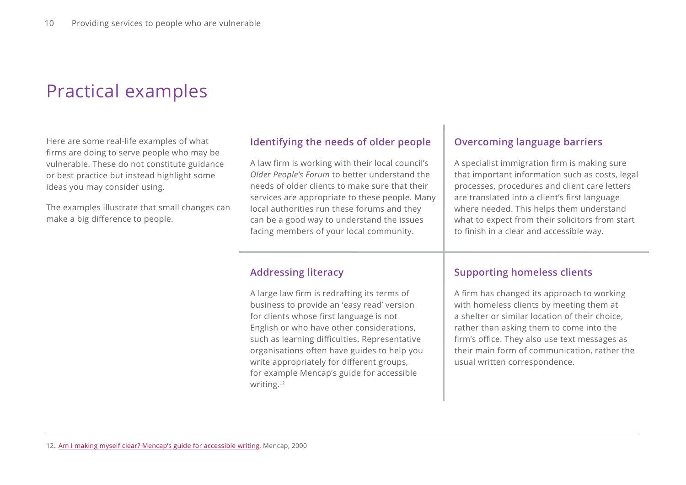# Practical examples

Here are some real-life examples of what firms are doing to serve people who may be vulnerable. These do not constitute guidance or best practice but instead highlight some ideas you may consider using.

The examples illustrate that small changes can make a big difference to people.

## **Identifying the needs of older people**

A law firm is working with their local council's *Older People's Forum* to better understand the needs of older clients to make sure that their services are appropriate to these people. Many local authorities run these forums and they can be a good way to understand the issues facing members of your local community.

### **Addressing literacy**

A large law firm is redrafting its terms of business to provide an 'easy read' version for clients whose first language is not English or who have other considerations, such as learning difficulties. Representative organisations often have guides to help you write appropriately for different groups, for example Mencap's guide for accessible writing.<sup>12</sup>

### **Overcoming language barriers**

A specialist immigration firm is making sure that important information such as costs, legal processes, procedures and client care letters are translated into a client's first language where needed. This helps them understand what to expect from their solicitors from start to finish in a clear and accessible way.

### **Supporting homeless clients**

A firm has changed its approach to working with homeless clients by meeting them at a shelter or similar location of their choice, rather than asking them to come into the firm's office. They also use text messages as their main form of communication, rather the usual written correspondence.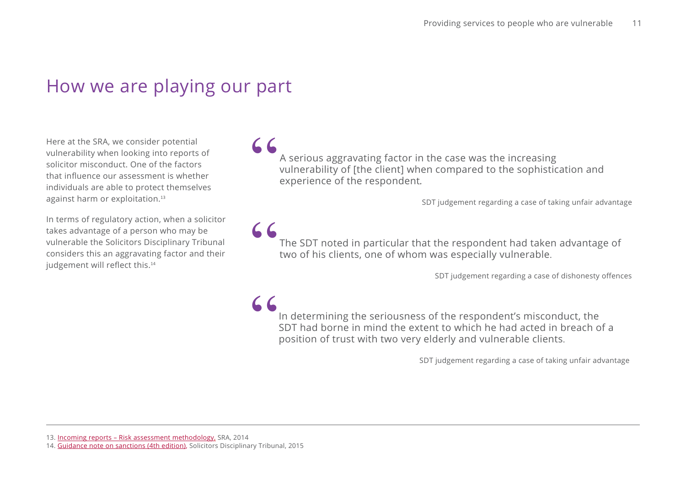## How we are playing our part

Here at the SRA, we consider potential vulnerability when looking into reports of solicitor misconduct. One of the factors that influence our assessment is whether individuals are able to protect themselves against harm or exploitation.<sup>13</sup>

In terms of regulatory action, when a solicitor takes advantage of a person who may be vulnerable the Solicitors Disciplinary Tribunal considers this an aggravating factor and their judgement will reflect this.<sup>14</sup>

" A serious aggravating factor in the case was the increasing vulnerability of [the client] when compared to the sophistication and experience of the respondent*.*

SDT judgement regarding a case of taking unfair advantage

The SDT noted in particular that the respondent had taken advantage of two of his clients, one of whom was especially vulnerable. "

SDT judgement regarding a case of dishonesty offences

In determining the seriousness of the respondent's misconduct, the SDT had borne in mind the extent to which he had acted in breach of a position of trust with two very elderly and vulnerable clients.  $AC$ 

SDT judgement regarding a case of taking unfair advantage

13. [Incoming reports – Risk assessment methodology](https://www.sra.org.uk/risk/reports-assessment-method.page), SRA, 2014

<sup>14.</sup> [Guidance note on sanctions \(4th edition\)](http://www.solicitorstribunal.org.uk/Content/documents/GUIDANCE%20NOTE%20ON%20SANCTIONS%204th%20edition%20December%202015%20website.pdf), Solicitors Disciplinary Tribunal, 2015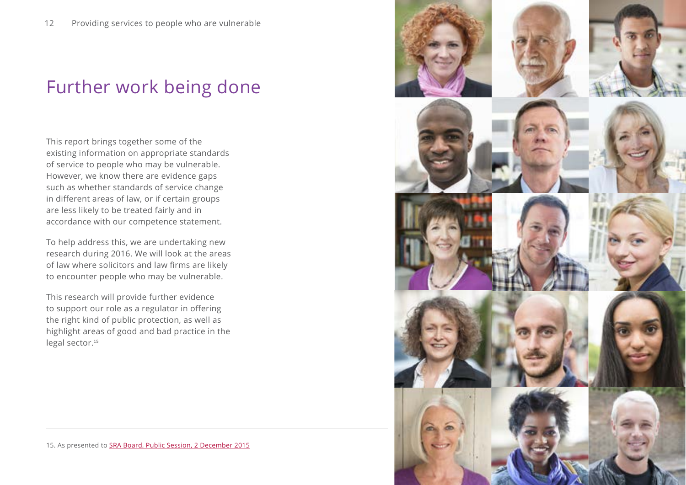# Further work being done

This report brings together some of the existing information on appropriate standards of service to people who may be vulnerable. However, we know there are evidence gaps such as whether standards of service change in different areas of law, or if certain groups are less likely to be treated fairly and in accordance with our competence statement.

To help address this, we are undertaking new research during 2016. We will look at the areas of law where solicitors and law firms are likely to encounter people who may be vulnerable.

This research will provide further evidence to support our role as a regulator in offering the right kind of public protection, as well as highlight areas of good and bad practice in the legal sector.<sup>15</sup>